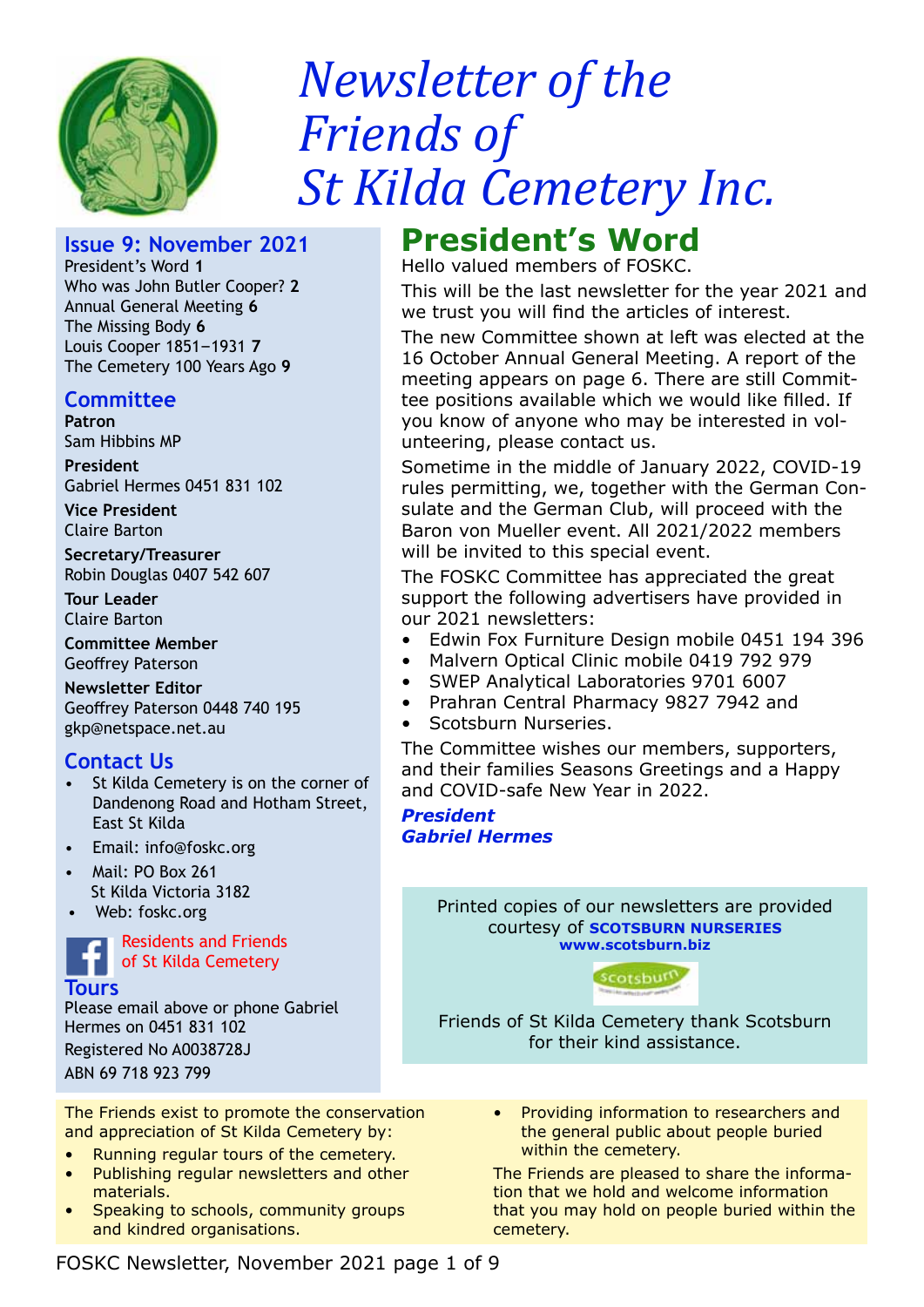

# *Newsletter of the Friends of St Kilda Cemetery Inc.*

# **Issue 9: November 2021**

President's Word **1** Who was John Butler Cooper? **2** Annual General Meeting **6** The Missing Body **6** Louis Cooper 1851–1931 **7** The Cemetery 100 Years Ago **9**

# **Committee**

**Patron**  Sam Hibbins MP

**President** Gabriel Hermes 0451 831 102

**Vice President** Claire Barton

**Secretary/Treasurer** Robin Douglas 0407 542 607

**Tour Leader** Claire Barton

**Committee Member** Geoffrey Paterson

**Newsletter Editor** Geoffrey Paterson 0448 740 195 gkp@netspace.net.au

# **Contact Us**

- St Kilda Cemetery is on the corner of Dandenong Road and Hotham Street, East St Kilda
- Email: info@foskc.org
- Mail: PO Box 261 St Kilda Victoria 3182
- Web: foskc.org

Residents and Friends of St Kilda Cemetery

**Tours**

Please email above or phone Gabriel Hermes on 0451 831 102 Registered No A0038728J ABN 69 718 923 799

The Friends exist to promote the conservation and appreciation of St Kilda Cemetery by:

- Running regular tours of the cemetery.
- Publishing regular newsletters and other materials.
- Speaking to schools, community groups and kindred organisations.

# **President's Word**

Hello valued members of FOSKC.

This will be the last newsletter for the year 2021 and we trust you will find the articles of interest.

The new Committee shown at left was elected at the 16 October Annual General Meeting. A report of the meeting appears on page 6. There are still Committee positions available which we would like filled. If you know of anyone who may be interested in volunteering, please contact us.

Sometime in the middle of January 2022, COVID-19 rules permitting, we, together with the German Consulate and the German Club, will proceed with the Baron von Mueller event. All 2021/2022 members will be invited to this special event.

The FOSKC Committee has appreciated the great support the following advertisers have provided in our 2021 newsletters:

- Edwin Fox Furniture Design mobile 0451 194 396
- Malvern Optical Clinic mobile 0419 792 979
- SWEP Analytical Laboratories 9701 6007
- Prahran Central Pharmacy 9827 7942 and
- Scotsburn Nurseries.

The Committee wishes our members, supporters, and their families Seasons Greetings and a Happy and COVID-safe New Year in 2022.

*President Gabriel Hermes*

> Printed copies of our newsletters are provided courtesy of **SCOTSBURN NURSERIES www.scotsburn.biz**



Friends of St Kilda Cemetery thank Scotsburn for their kind assistance.

> • Providing information to researchers and the general public about people buried within the cemetery.

The Friends are pleased to share the information that we hold and welcome information that you may hold on people buried within the cemetery.

FOSKC Newsletter, November 2021 page 1 of 9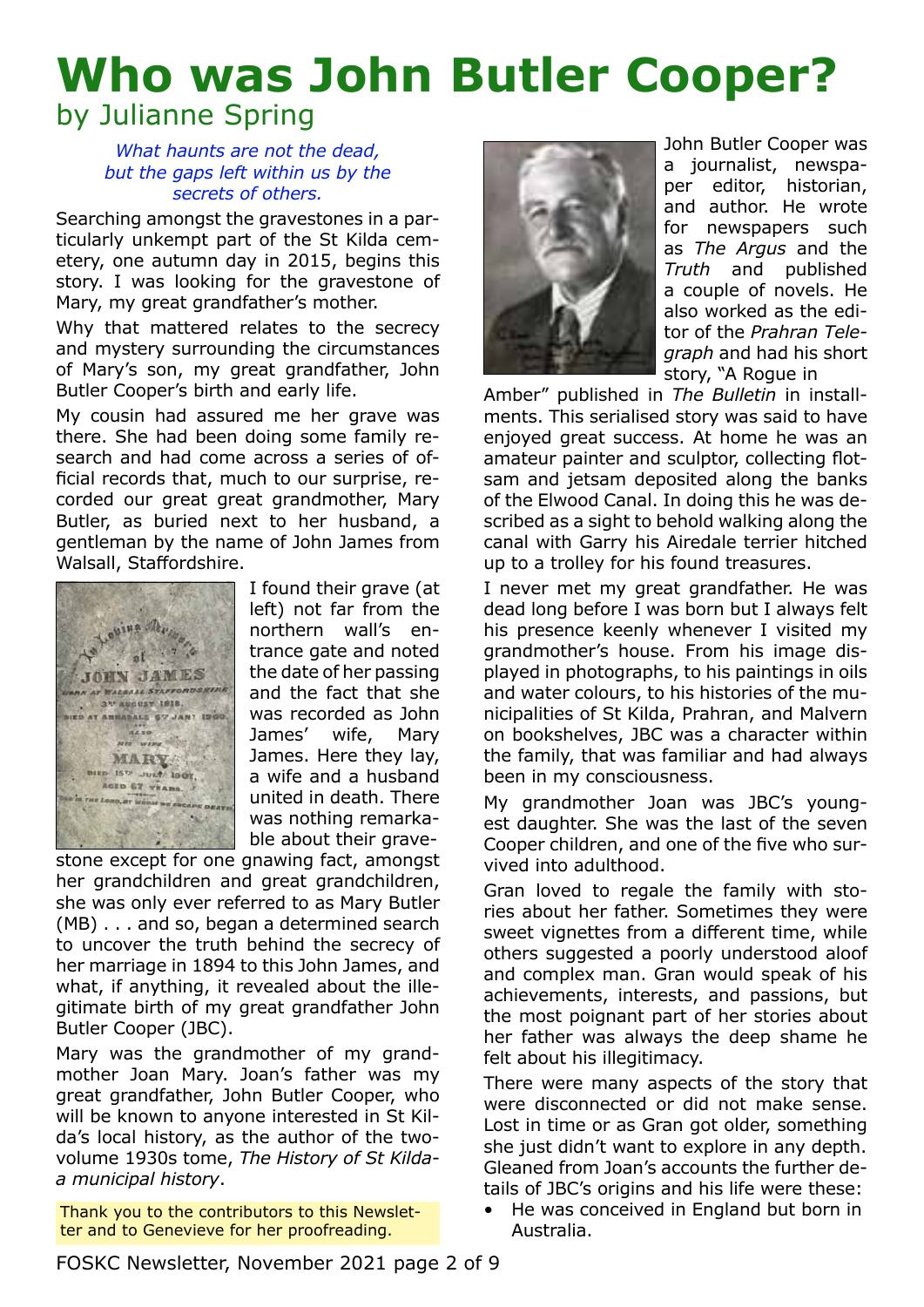# **Who was John Butler Cooper?** by Julianne Spring

## *What haunts are not the dead, but the gaps left within us by the secrets of others.*

Searching amongst the gravestones in a particularly unkempt part of the St Kilda cemetery, one autumn day in 2015, begins this story. I was looking for the gravestone of Mary, my great grandfather's mother.

Why that mattered relates to the secrecy and mystery surrounding the circumstances of Mary's son, my great grandfather, John Butler Cooper's birth and early life.

My cousin had assured me her grave was there. She had been doing some family research and had come across a series of official records that, much to our surprise, recorded our great great grandmother, Mary Butler, as buried next to her husband, a gentleman by the name of John James from Walsall, Staffordshire.



I found their grave (at left) not far from the northern wall's entrance gate and noted the date of her passing and the fact that she was recorded as John James' wife, Mary James. Here they lay, a wife and a husband united in death. There was nothing remarkable about their grave-

stone except for one gnawing fact, amongst her grandchildren and great grandchildren, she was only ever referred to as Mary Butler (MB) . . . and so, began a determined search to uncover the truth behind the secrecy of her marriage in 1894 to this John James, and what, if anything, it revealed about the illegitimate birth of my great grandfather John Butler Cooper (JBC).

Mary was the grandmother of my grandmother Joan Mary. Joan's father was my great grandfather, John Butler Cooper, who will be known to anyone interested in St Kilda's local history, as the author of the twovolume 1930s tome, *The History of St Kildaa municipal history*.

Thank you to the contributors to this Newsletter and to Genevieve for her proofreading.



John Butler Cooper was a journalist, newspaper editor, historian, and author. He wrote for newspapers such as *The Argus* and the *Truth* and published a couple of novels. He also worked as the editor of the *Prahran Telegraph* and had his short story, "A Rogue in

Amber" published in *The Bulletin* in installments. This serialised story was said to have enjoyed great success. At home he was an amateur painter and sculptor, collecting flotsam and jetsam deposited along the banks of the Elwood Canal. In doing this he was described as a sight to behold walking along the canal with Garry his Airedale terrier hitched up to a trolley for his found treasures.

I never met my great grandfather. He was dead long before I was born but I always felt his presence keenly whenever I visited my grandmother's house. From his image displayed in photographs, to his paintings in oils and water colours, to his histories of the municipalities of St Kilda, Prahran, and Malvern on bookshelves, JBC was a character within the family, that was familiar and had always been in my consciousness.

My grandmother Joan was JBC's youngest daughter. She was the last of the seven Cooper children, and one of the five who survived into adulthood.

Gran loved to regale the family with stories about her father. Sometimes they were sweet vignettes from a different time, while others suggested a poorly understood aloof and complex man. Gran would speak of his achievements, interests, and passions, but the most poignant part of her stories about her father was always the deep shame he felt about his illegitimacy.

There were many aspects of the story that were disconnected or did not make sense. Lost in time or as Gran got older, something she just didn't want to explore in any depth. Gleaned from Joan's accounts the further details of JBC's origins and his life were these:

• He was conceived in England but born in Australia.

FOSKC Newsletter, November 2021 page 2 of 9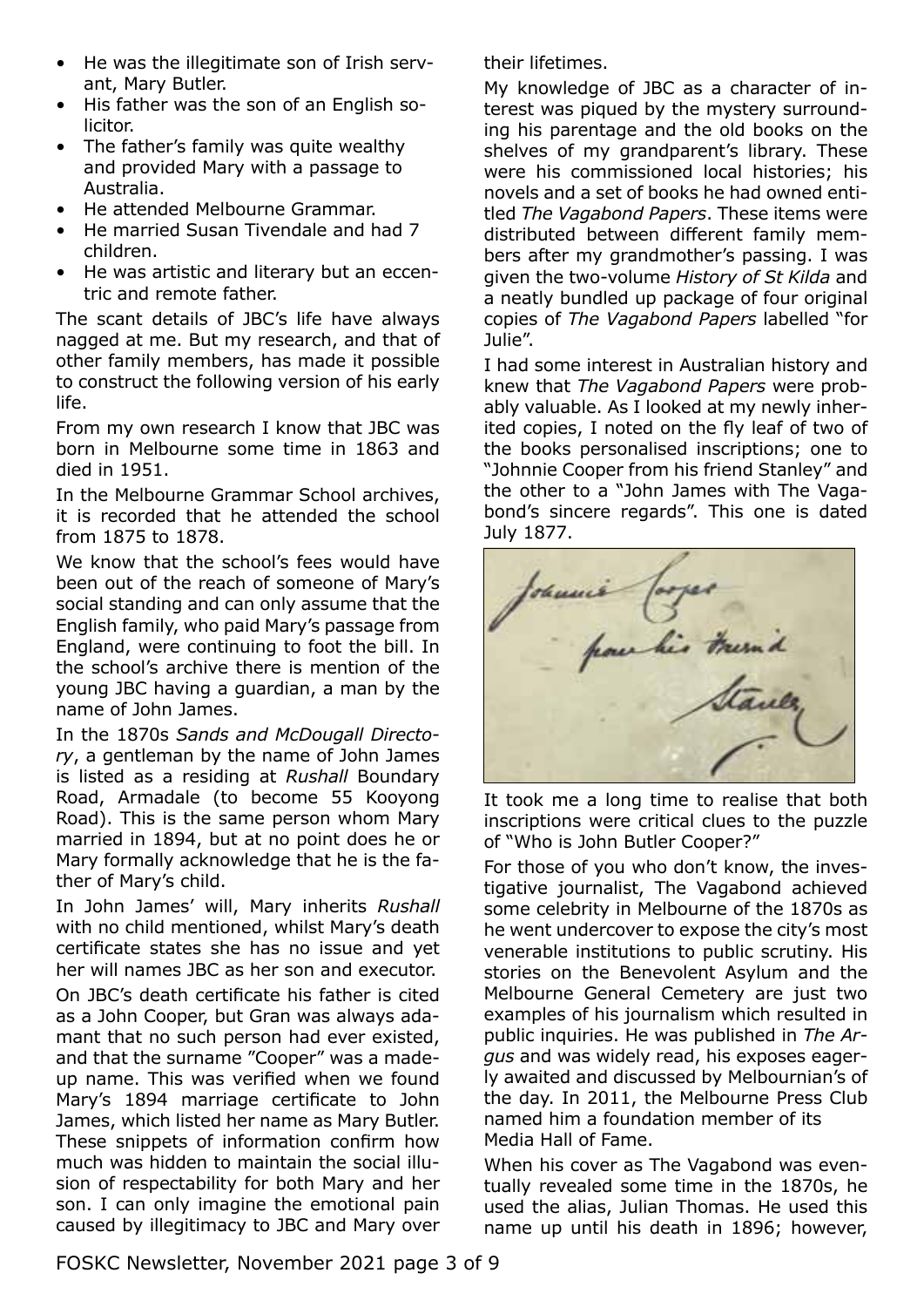- He was the illegitimate son of Irish servant, Mary Butler.
- His father was the son of an English solicitor.
- The father's family was quite wealthy and provided Mary with a passage to Australia.
- He attended Melbourne Grammar.
- He married Susan Tivendale and had 7 children.
- He was artistic and literary but an eccentric and remote father.

The scant details of JBC's life have always nagged at me. But my research, and that of other family members, has made it possible to construct the following version of his early life.

From my own research I know that JBC was born in Melbourne some time in 1863 and died in 1951.

In the Melbourne Grammar School archives, it is recorded that he attended the school from 1875 to 1878.

We know that the school's fees would have been out of the reach of someone of Mary's social standing and can only assume that the English family, who paid Mary's passage from England, were continuing to foot the bill. In the school's archive there is mention of the young JBC having a guardian, a man by the name of John James.

In the 1870s *Sands and McDougall Directory*, a gentleman by the name of John James is listed as a residing at *Rushall* Boundary Road, Armadale (to become 55 Kooyong Road). This is the same person whom Mary married in 1894, but at no point does he or Mary formally acknowledge that he is the father of Mary's child.

In John James' will, Mary inherits *Rushall* with no child mentioned, whilst Mary's death certificate states she has no issue and yet her will names JBC as her son and executor. On JBC's death certificate his father is cited as a John Cooper, but Gran was always adamant that no such person had ever existed, and that the surname "Cooper" was a madeup name. This was verified when we found Mary's 1894 marriage certificate to John James, which listed her name as Mary Butler. These snippets of information confirm how much was hidden to maintain the social illusion of respectability for both Mary and her son. I can only imagine the emotional pain caused by illegitimacy to JBC and Mary over their lifetimes.

My knowledge of JBC as a character of interest was piqued by the mystery surrounding his parentage and the old books on the shelves of my grandparent's library. These were his commissioned local histories; his novels and a set of books he had owned entitled *The Vagabond Papers*. These items were distributed between different family members after my grandmother's passing. I was given the two-volume *History of St Kilda* and a neatly bundled up package of four original copies of *The Vagabond Papers* labelled "for Julie".

I had some interest in Australian history and knew that *The Vagabond Papers* were probably valuable. As I looked at my newly inherited copies, I noted on the fly leaf of two of the books personalised inscriptions; one to "Johnnie Cooper from his friend Stanley" and the other to a "John James with The Vagabond's sincere regards". This one is dated July 1877.



It took me a long time to realise that both inscriptions were critical clues to the puzzle of "Who is John Butler Cooper?"

For those of you who don't know, the investigative journalist, The Vagabond achieved some celebrity in Melbourne of the 1870s as he went undercover to expose the city's most venerable institutions to public scrutiny. His stories on the Benevolent Asylum and the Melbourne General Cemetery are just two examples of his journalism which resulted in public inquiries. He was published in *The Argus* and was widely read, his exposes eagerly awaited and discussed by Melbournian's of the day. In 2011, the Melbourne Press Club named him a foundation member of its Media Hall of Fame.

When his cover as The Vagabond was eventually revealed some time in the 1870s, he used the alias, Julian Thomas. He used this name up until his death in 1896; however,

FOSKC Newsletter, November 2021 page 3 of 9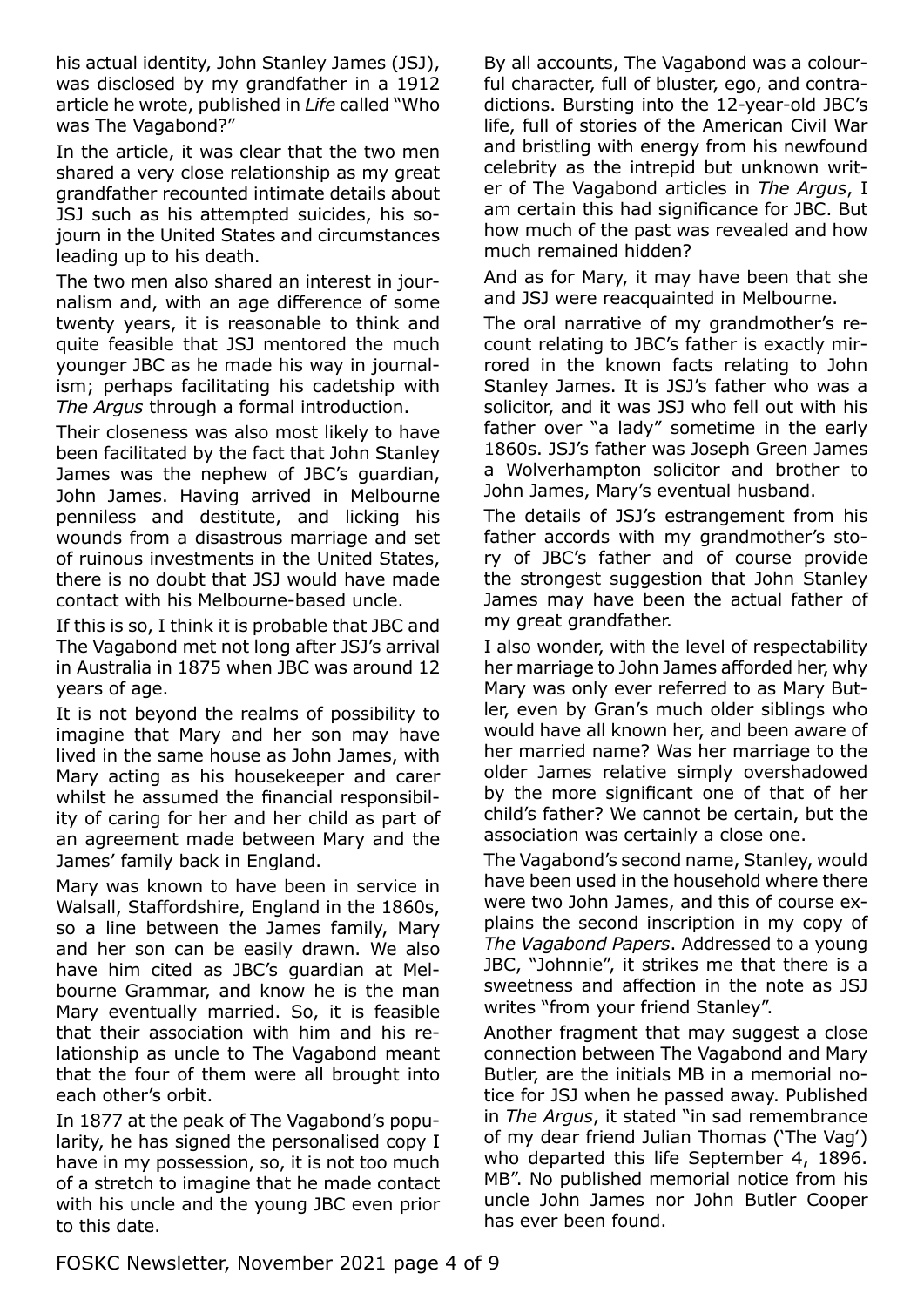his actual identity, John Stanley James (JSJ), was disclosed by my grandfather in a 1912 article he wrote, published in *Life* called "Who was The Vagabond?"

In the article, it was clear that the two men shared a very close relationship as my great grandfather recounted intimate details about JSJ such as his attempted suicides, his sojourn in the United States and circumstances leading up to his death.

The two men also shared an interest in journalism and, with an age difference of some twenty years, it is reasonable to think and quite feasible that JSJ mentored the much younger JBC as he made his way in journalism; perhaps facilitating his cadetship with *The Argus* through a formal introduction.

Their closeness was also most likely to have been facilitated by the fact that John Stanley James was the nephew of JBC's guardian, John James. Having arrived in Melbourne penniless and destitute, and licking his wounds from a disastrous marriage and set of ruinous investments in the United States, there is no doubt that JSJ would have made contact with his Melbourne-based uncle.

If this is so, I think it is probable that JBC and The Vagabond met not long after JSJ's arrival in Australia in 1875 when JBC was around 12 years of age.

It is not beyond the realms of possibility to imagine that Mary and her son may have lived in the same house as John James, with Mary acting as his housekeeper and carer whilst he assumed the financial responsibility of caring for her and her child as part of an agreement made between Mary and the James' family back in England.

Mary was known to have been in service in Walsall, Staffordshire, England in the 1860s, so a line between the James family, Mary and her son can be easily drawn. We also have him cited as JBC's guardian at Melbourne Grammar, and know he is the man Mary eventually married. So, it is feasible that their association with him and his relationship as uncle to The Vagabond meant that the four of them were all brought into each other's orbit.

In 1877 at the peak of The Vagabond's popularity, he has signed the personalised copy I have in my possession, so, it is not too much of a stretch to imagine that he made contact with his uncle and the young JBC even prior to this date.

By all accounts, The Vagabond was a colourful character, full of bluster, ego, and contradictions. Bursting into the 12-year-old JBC's life, full of stories of the American Civil War and bristling with energy from his newfound celebrity as the intrepid but unknown writer of The Vagabond articles in *The Argus*, I am certain this had significance for JBC. But how much of the past was revealed and how much remained hidden?

And as for Mary, it may have been that she and JSJ were reacquainted in Melbourne.

The oral narrative of my grandmother's recount relating to JBC's father is exactly mirrored in the known facts relating to John Stanley James. It is JSJ's father who was a solicitor, and it was JSJ who fell out with his father over "a lady" sometime in the early 1860s. JSJ's father was Joseph Green James a Wolverhampton solicitor and brother to John James, Mary's eventual husband.

The details of JSJ's estrangement from his father accords with my grandmother's story of JBC's father and of course provide the strongest suggestion that John Stanley James may have been the actual father of my great grandfather.

I also wonder, with the level of respectability her marriage to John James afforded her, why Mary was only ever referred to as Mary Butler, even by Gran's much older siblings who would have all known her, and been aware of her married name? Was her marriage to the older James relative simply overshadowed by the more significant one of that of her child's father? We cannot be certain, but the association was certainly a close one.

The Vagabond's second name, Stanley, would have been used in the household where there were two John James, and this of course explains the second inscription in my copy of *The Vagabond Papers*. Addressed to a young JBC, "Johnnie", it strikes me that there is a sweetness and affection in the note as JSJ writes "from your friend Stanley".

Another fragment that may suggest a close connection between The Vagabond and Mary Butler, are the initials MB in a memorial notice for JSJ when he passed away. Published in *The Argus*, it stated "in sad remembrance of my dear friend Julian Thomas ('The Vag') who departed this life September 4, 1896. MB". No published memorial notice from his uncle John James nor John Butler Cooper has ever been found.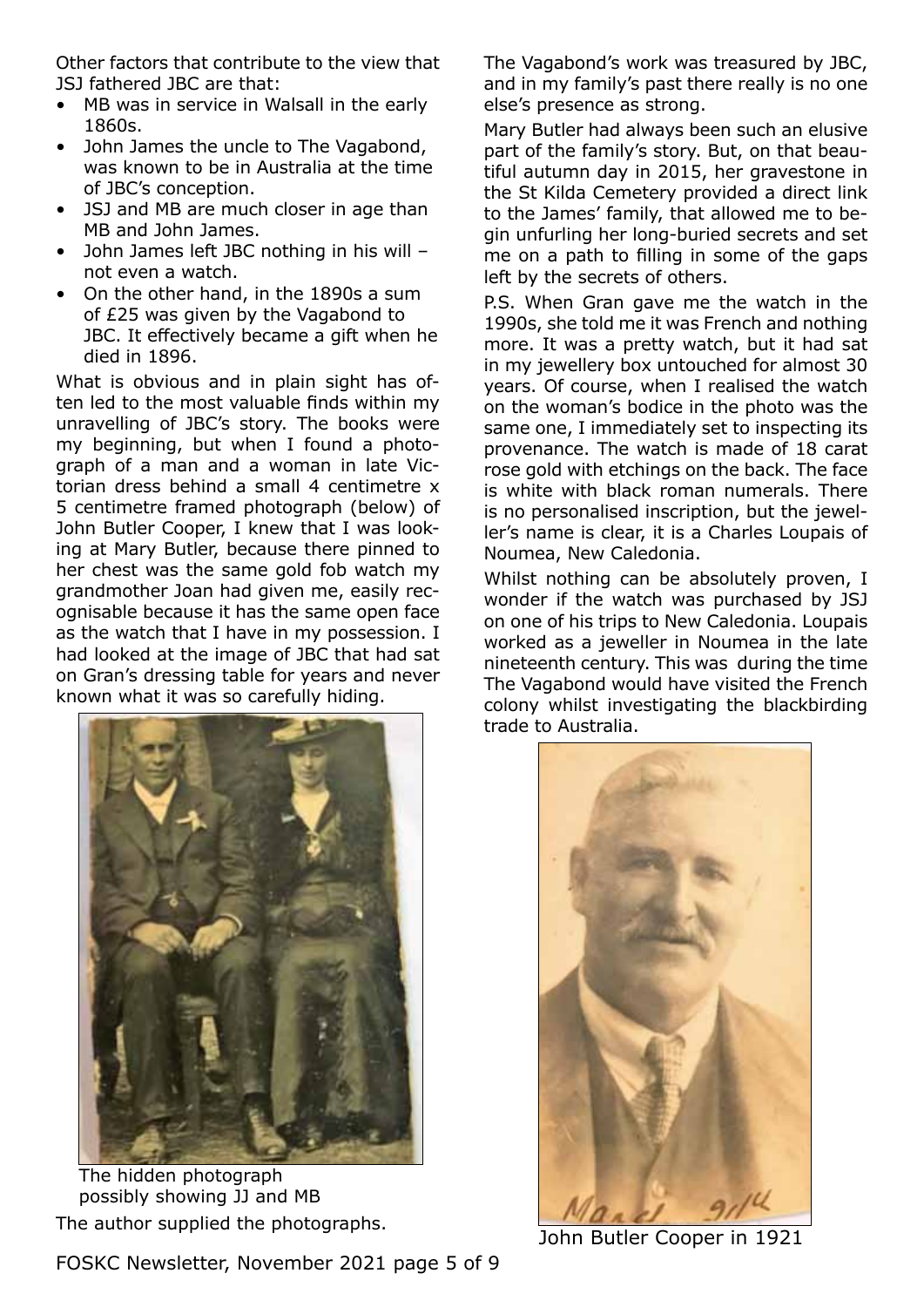Other factors that contribute to the view that JSJ fathered JBC are that:

- MB was in service in Walsall in the early 1860s.
- John James the uncle to The Vagabond, was known to be in Australia at the time of JBC's conception.
- JSJ and MB are much closer in age than MB and John James.
- John James left JBC nothing in his will not even a watch.
- On the other hand, in the 1890s a sum of £25 was given by the Vagabond to JBC. It effectively became a gift when he died in 1896.

What is obvious and in plain sight has often led to the most valuable finds within my unravelling of JBC's story. The books were my beginning, but when I found a photograph of a man and a woman in late Victorian dress behind a small 4 centimetre x 5 centimetre framed photograph (below) of John Butler Cooper, I knew that I was looking at Mary Butler, because there pinned to her chest was the same gold fob watch my grandmother Joan had given me, easily recognisable because it has the same open face as the watch that I have in my possession. I had looked at the image of JBC that had sat on Gran's dressing table for years and never known what it was so carefully hiding.



The author supplied the photographs.<br>
John Butler Cooper in 1921 The hidden photograph possibly showing JJ and MB

FOSKC Newsletter, November 2021 page 5 of 9

The Vagabond's work was treasured by JBC, and in my family's past there really is no one else's presence as strong.

Mary Butler had always been such an elusive part of the family's story. But, on that beautiful autumn day in 2015, her gravestone in the St Kilda Cemetery provided a direct link to the James' family, that allowed me to begin unfurling her long-buried secrets and set me on a path to filling in some of the gaps left by the secrets of others.

P.S. When Gran gave me the watch in the 1990s, she told me it was French and nothing more. It was a pretty watch, but it had sat in my jewellery box untouched for almost 30 years. Of course, when I realised the watch on the woman's bodice in the photo was the same one, I immediately set to inspecting its provenance. The watch is made of 18 carat rose gold with etchings on the back. The face is white with black roman numerals. There is no personalised inscription, but the jeweller's name is clear, it is a Charles Loupais of Noumea, New Caledonia.

Whilst nothing can be absolutely proven, I wonder if the watch was purchased by JSJ on one of his trips to New Caledonia. Loupais worked as a jeweller in Noumea in the late nineteenth century. This was during the time The Vagabond would have visited the French colony whilst investigating the blackbirding trade to Australia.

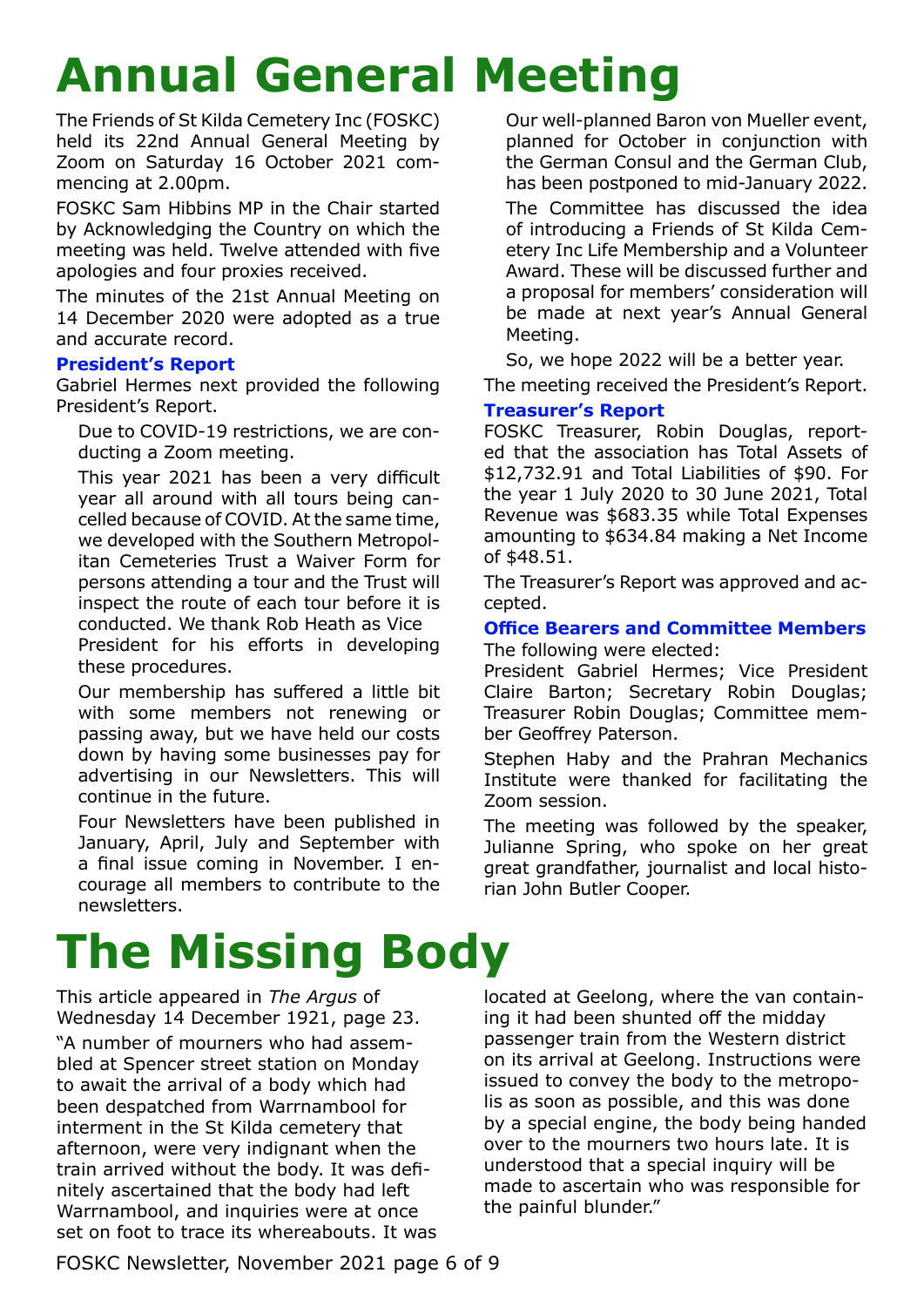# **Annual General Meeting**

The Friends of St Kilda Cemetery Inc (FOSKC) held its 22nd Annual General Meeting by Zoom on Saturday 16 October 2021 commencing at 2.00pm.

FOSKC Sam Hibbins MP in the Chair started by Acknowledging the Country on which the meeting was held. Twelve attended with five apologies and four proxies received.

The minutes of the 21st Annual Meeting on 14 December 2020 were adopted as a true and accurate record.

## **President's Report**

Gabriel Hermes next provided the following President's Report.

Due to COVID-19 restrictions, we are conducting a Zoom meeting.

This year 2021 has been a very difficult year all around with all tours being cancelled because of COVID. At the same time, we developed with the Southern Metropolitan Cemeteries Trust a Waiver Form for persons attending a tour and the Trust will inspect the route of each tour before it is conducted. We thank Rob Heath as Vice President for his efforts in developing these procedures.

Our membership has suffered a little bit with some members not renewing or passing away, but we have held our costs down by having some businesses pay for advertising in our Newsletters. This will continue in the future.

Four Newsletters have been published in January, April, July and September with a final issue coming in November. I encourage all members to contribute to the newsletters.

# **The Missing Body**

This article appeared in *The Argus* of Wednesday 14 December 1921, page 23. "A number of mourners who had assembled at Spencer street station on Monday to await the arrival of a body which had been despatched from Warrnambool for interment in the St Kilda cemetery that afternoon, were very indignant when the train arrived without the body. It was definitely ascertained that the body had left Warrnambool, and inquiries were at once set on foot to trace its whereabouts. It was Our well-planned Baron von Mueller event, planned for October in conjunction with the German Consul and the German Club, has been postponed to mid-January 2022.

The Committee has discussed the idea of introducing a Friends of St Kilda Cemetery Inc Life Membership and a Volunteer Award. These will be discussed further and a proposal for members' consideration will be made at next year's Annual General Meeting.

So, we hope 2022 will be a better year. The meeting received the President's Report.

## **Treasurer's Report**

FOSKC Treasurer, Robin Douglas, reported that the association has Total Assets of \$12,732.91 and Total Liabilities of \$90. For the year 1 July 2020 to 30 June 2021, Total Revenue was \$683.35 while Total Expenses amounting to \$634.84 making a Net Income of \$48.51.

The Treasurer's Report was approved and accepted.

# **Office Bearers and Committee Members**

The following were elected:

President Gabriel Hermes; Vice President Claire Barton; Secretary Robin Douglas; Treasurer Robin Douglas; Committee member Geoffrey Paterson.

Stephen Haby and the Prahran Mechanics Institute were thanked for facilitating the Zoom session.

The meeting was followed by the speaker, Julianne Spring, who spoke on her great great grandfather, journalist and local historian John Butler Cooper.

located at Geelong, where the van containing it had been shunted off the midday passenger train from the Western district on its arrival at Geelong. Instructions were issued to convey the body to the metropolis as soon as possible, and this was done by a special engine, the body being handed over to the mourners two hours late. It is understood that a special inquiry will be made to ascertain who was responsible for the painful blunder."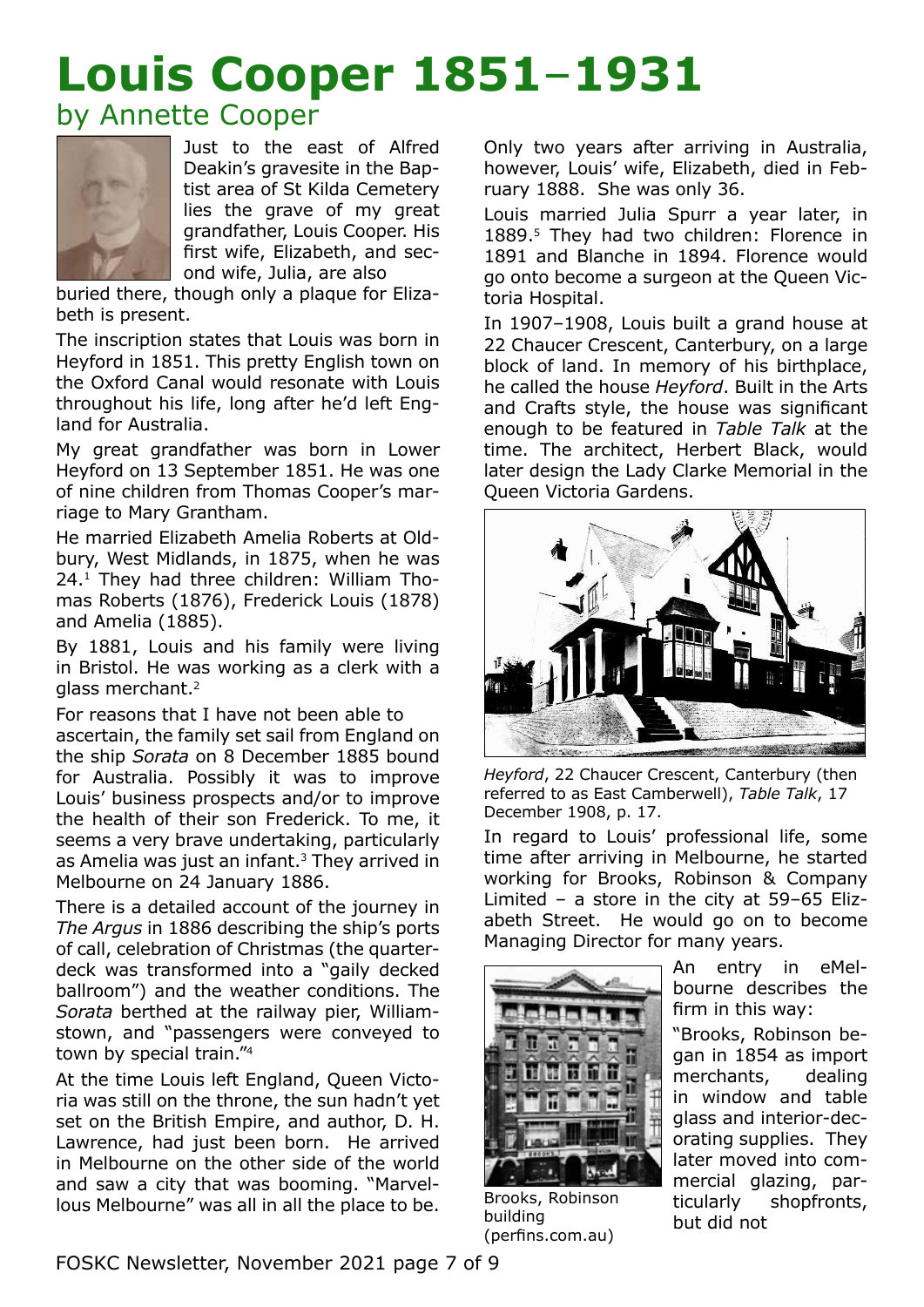# **Louis Cooper 1851**–**1931**

# by Annette Cooper



Just to the east of Alfred Deakin's gravesite in the Baptist area of St Kilda Cemetery lies the grave of my great grandfather, Louis Cooper. His first wife, Elizabeth, and second wife, Julia, are also

buried there, though only a plaque for Elizabeth is present.

The inscription states that Louis was born in Heyford in 1851. This pretty English town on the Oxford Canal would resonate with Louis throughout his life, long after he'd left England for Australia.

My great grandfather was born in Lower Heyford on 13 September 1851. He was one of nine children from Thomas Cooper's marriage to Mary Grantham.

He married Elizabeth Amelia Roberts at Oldbury, West Midlands, in 1875, when he was 24.1 They had three children: William Thomas Roberts (1876), Frederick Louis (1878) and Amelia (1885).

By 1881, Louis and his family were living in Bristol. He was working as a clerk with a glass merchant.<sup>2</sup>

For reasons that I have not been able to ascertain, the family set sail from England on the ship *Sorata* on 8 December 1885 bound for Australia. Possibly it was to improve Louis' business prospects and/or to improve the health of their son Frederick. To me, it seems a very brave undertaking, particularly as Amelia was just an infant.<sup>3</sup> They arrived in Melbourne on 24 January 1886.

There is a detailed account of the journey in *The Argus* in 1886 describing the ship's ports of call, celebration of Christmas (the quarterdeck was transformed into a "gaily decked ballroom") and the weather conditions. The *Sorata* berthed at the railway pier, Williamstown, and "passengers were conveyed to town by special train."<sup>4</sup>

At the time Louis left England, Queen Victoria was still on the throne, the sun hadn't yet set on the British Empire, and author, D. H. Lawrence, had just been born. He arrived in Melbourne on the other side of the world and saw a city that was booming. "Marvellous Melbourne" was all in all the place to be.

Only two years after arriving in Australia, however, Louis' wife, Elizabeth, died in February 1888. She was only 36.

Louis married Julia Spurr a year later, in 1889.<sup>5</sup> They had two children: Florence in 1891 and Blanche in 1894. Florence would go onto become a surgeon at the Queen Victoria Hospital.

In 1907–1908, Louis built a grand house at 22 Chaucer Crescent, Canterbury, on a large block of land. In memory of his birthplace, he called the house *Heyford*. Built in the Arts and Crafts style, the house was significant enough to be featured in *Table Talk* at the time. The architect, Herbert Black, would later design the Lady Clarke Memorial in the Queen Victoria Gardens.



*Heyford*, 22 Chaucer Crescent, Canterbury (then referred to as East Camberwell), *Table Talk*, 17 December 1908, p. 17.

In regard to Louis' professional life, some time after arriving in Melbourne, he started working for Brooks, Robinson & Company Limited – a store in the city at 59–65 Elizabeth Street. He would go on to become Managing Director for many years.



Brooks, Robinson building (perfins.com.au)

An entry in eMelbourne describes the firm in this way:

"Brooks, Robinson began in 1854 as import merchants, dealing in window and table glass and interior-decorating supplies. They later moved into commercial glazing, particularly shopfronts, but did not

FOSKC Newsletter, November 2021 page 7 of 9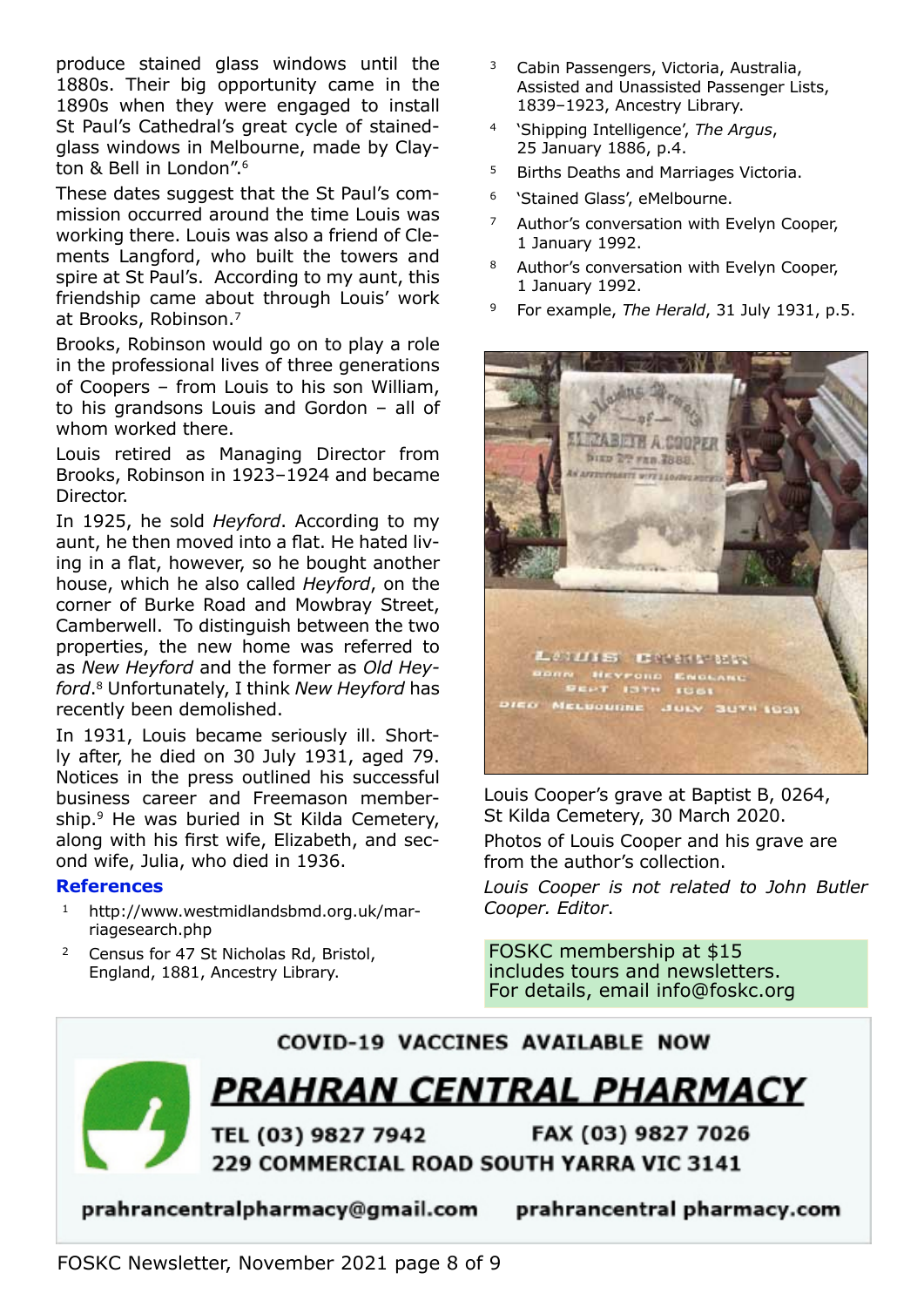produce stained glass windows until the 1880s. Their big opportunity came in the 1890s when they were engaged to install St Paul's Cathedral's great cycle of stainedglass windows in Melbourne, made by Clayton & Bell in London".<sup>6</sup>

These dates suggest that the St Paul's commission occurred around the time Louis was working there. Louis was also a friend of Clements Langford, who built the towers and spire at St Paul's. According to my aunt, this friendship came about through Louis' work at Brooks, Robinson.<sup>7</sup>

Brooks, Robinson would go on to play a role in the professional lives of three generations of Coopers – from Louis to his son William, to his grandsons Louis and Gordon – all of whom worked there.

Louis retired as Managing Director from Brooks, Robinson in 1923–1924 and became Director.

In 1925, he sold *Heyford*. According to my aunt, he then moved into a flat. He hated living in a flat, however, so he bought another house, which he also called *Heyford*, on the corner of Burke Road and Mowbray Street, Camberwell. To distinguish between the two properties, the new home was referred to as *New Heyford* and the former as *Old Heyford*.8 Unfortunately, I think *New Heyford* has recently been demolished.

In 1931, Louis became seriously ill. Shortly after, he died on 30 July 1931, aged 79. Notices in the press outlined his successful business career and Freemason membership.<sup>9</sup> He was buried in St Kilda Cemetery, along with his first wife, Elizabeth, and second wife, Julia, who died in 1936.

#### **References**

- <sup>1</sup> http://www.westmidlandsbmd.org.uk/marriagesearch.php
- <sup>2</sup> Census for 47 St Nicholas Rd, Bristol, England, 1881, Ancestry Library.
- <sup>3</sup> Cabin Passengers, Victoria, Australia, Assisted and Unassisted Passenger Lists, 1839–1923, Ancestry Library.
- <sup>4</sup> 'Shipping Intelligence', *The Argus*, 25 January 1886, p.4.
- <sup>5</sup> Births Deaths and Marriages Victoria.
- <sup>6</sup> 'Stained Glass', eMelbourne.
- <sup>7</sup> Author's conversation with Evelyn Cooper, 1 January 1992.
- 8 Author's conversation with Evelyn Cooper, 1 January 1992.
- <sup>9</sup> For example, *The Herald*, 31 July 1931, p.5.



Louis Cooper's grave at Baptist B, 0264, St Kilda Cemetery, 30 March 2020.

Photos of Louis Cooper and his grave are from the author's collection.

*Louis Cooper is not related to John Butler Cooper. Editor*.

FOSKC membership at \$15 includes tours and newsletters. For details, email info@foskc.org



prahrancentralpharmacy@gmail.com

prahrancentral pharmacy.com